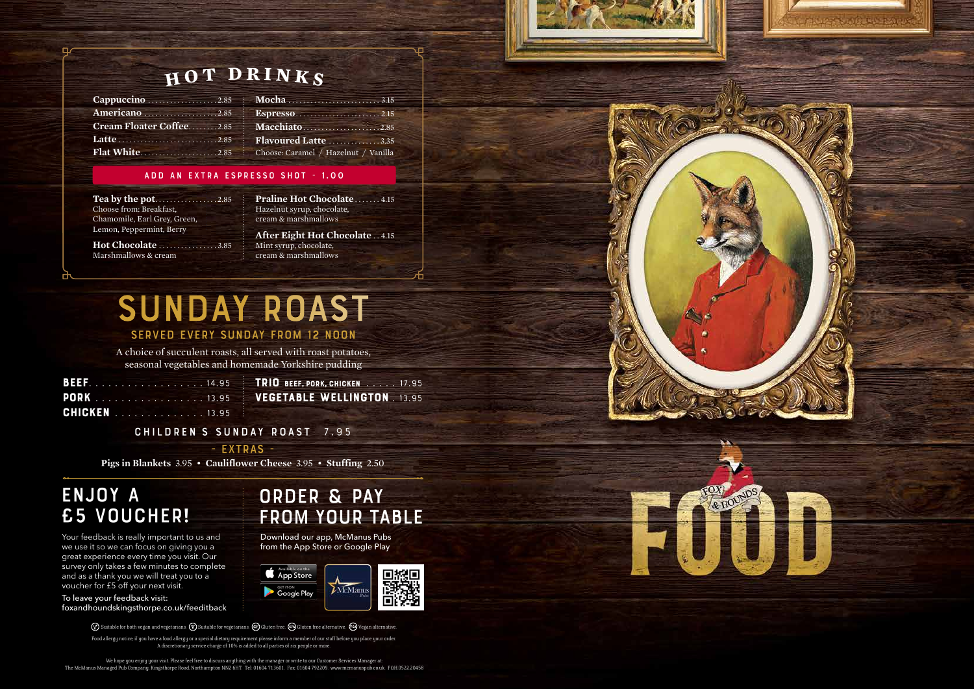A choice of succulent roasts, all served with roast potatoes, seasonal vegetables and homemade Yorkshire pudding

# sunday roast

### Served every Sunday from 12 Noon

We hope you enjoy your visit. Please feel free to discuss anything with the manager or write to our Customer Services Manager at: The McManus Managed Pub Company, Kingsthorpe Road, Northampton NN2 6HT. Tel: 01604 713601. Fax: 01604 792209. www.mcmanuspub.co.uk. F&H.0522.20458





Your feedback is really important to us and we use it so we can focus on giving you a great experience every time you visit. Our survey only takes a few minutes to complete and as a thank you we will treat you to a voucher for £5 off your next visit.

To leave your feedback visit: foxandhoundskingsthorpe.co.uk/feeditback

 $\oslash$  Suitable for both vegan and vegetarians.  $\oslash$  Suitable for vegetarians. GF Gluten free. GFA Gluten free alternative.  $\oslash$  Vegan alternative.

**Tea by the pot.** . . . . . . . . . . . . . . . 2.85 Choose from: Breakfast, Chamomile, Earl Grey, Green, Lemon, Peppermint, Berry

## enjoy a £5 voucher!

Praline Hot Chocolate . . . . . . 4.15 Hazelnut syrup, chocolate, cream & marshmallows

## $_{\rm H}$  o T  $_{\rm }$  D R I N K  $_{\rm S}$

| Cappuccino 2.85 [ Mocha                 |  |
|-----------------------------------------|--|
|                                         |  |
| <b>Cream Floater Coffee2.85   Macch</b> |  |
|                                         |  |
| <b>Flat White2.85</b> : Choose:         |  |
|                                         |  |

| : <b>Mocha</b> 3.15                  |  |
|--------------------------------------|--|
| <b>Espresso</b> 2.15                 |  |
| Macchiato2.85                        |  |
| Flavoured Latte 3.35                 |  |
| Choose: Caramel / Hazelnut / Vanilla |  |

#### add an extra espresso shot - 1.00

**Hot Chocolate** . . . . . . . . . . . . . . . 3.85 Marshmallows & cream

**After Eight Hot Chocolate** . . 4.15 Mint syrup, chocolate, cream & marshmallows

Food allergy notice; if you have a food allergy or a special dietary requirement please inform a member of our staff before you place your order. A discretionary service charge of 10% is added to all parties of six people or more.

order & pay

from your table

Download our app, McManus Pubs from the App Store or Google Play

#### CHILDREN'S SUNDAY ROAST **7.95**

- EXTRAs -

**Pigs in Blankets** 3.95 • **Cauliflower Cheese** 3.95 • **Stuffing** 2.50

| <b>BEEF.</b> 14.95 : |  |  |  |  |  |  |  |  |
|----------------------|--|--|--|--|--|--|--|--|
| <b>PORK</b> 13.95 -  |  |  |  |  |  |  |  |  |
| <b>CHICKEN</b> 13.95 |  |  |  |  |  |  |  |  |

trio beef, pork, chicken**. . 17.95** Vegetable wellington**. . 13.95**